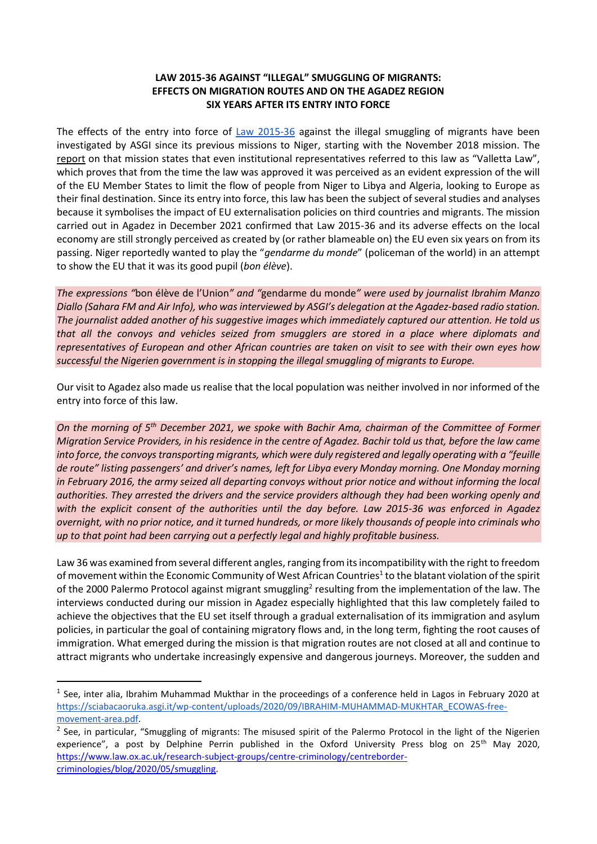## **LAW 2015-36 AGAINST "ILLEGAL" SMUGGLING OF MIGRANTS: EFFECTS ON MIGRATION ROUTES AND ON THE AGADEZ REGION SIX YEARS AFTER ITS ENTRY INTO FORCE**

The effects of the entry into force of [Law 2015-36](https://www.asgi.it/wp-content/uploads/2019/05/Loi_N2015-36_relative_au_trafic_illicite_de_migrants.pdf) against the illegal smuggling of migrants have been investigated by ASGI since its previous missions to Niger, starting with the November 2018 mission. The report on that mission states that even institutional representatives referred to this law as "Valletta Law", which proves that from the time the law was approved it was perceived as an evident expression of the will of the EU Member States to limit the flow of people from Niger to Libya and Algeria, looking to Europe as their final destination. Since its entry into force, this law has been the subject of several studies and analyses because it symbolises the impact of EU externalisation policies on third countries and migrants. The mission carried out in Agadez in December 2021 confirmed that Law 2015-36 and its adverse effects on the local economy are still strongly perceived as created by (or rather blameable on) the EU even six years on from its passing. Niger reportedly wanted to play the "*gendarme du monde*" (policeman of the world) in an attempt to show the EU that it was its good pupil (*bon élève*).

*The expressions "*bon élève de l'Union*" and "*gendarme du monde*" were used by journalist Ibrahim Manzo Diallo (Sahara FM and Air Info), who was interviewed by ASGI's delegation at the Agadez-based radio station. The journalist added another of his suggestive images which immediately captured our attention. He told us that all the convoys and vehicles seized from smugglers are stored in a place where diplomats and representatives of European and other African countries are taken on visit to see with their own eyes how successful the Nigerien government is in stopping the illegal smuggling of migrants to Europe.*

Our visit to Agadez also made us realise that the local population was neither involved in nor informed of the entry into force of this law.

*On the morning of 5th December 2021, we spoke with Bachir Ama, chairman of the Committee of Former Migration Service Providers, in his residence in the centre of Agadez. Bachir told us that, before the law came into force, the convoys transporting migrants, which were duly registered and legally operating with a "feuille de route" listing passengers' and driver's names, left for Libya every Monday morning. One Monday morning in February 2016, the army seized all departing convoys without prior notice and without informing the local authorities. They arrested the drivers and the service providers although they had been working openly and with the explicit consent of the authorities until the day before. Law 2015-36 was enforced in Agadez overnight, with no prior notice, and it turned hundreds, or more likely thousands of people into criminals who up to that point had been carrying out a perfectly legal and highly profitable business.*

Law 36 was examined from several different angles, ranging from its incompatibility with the right to freedom of movement within the Economic Community of West African Countries<sup>1</sup> to the blatant violation of the spirit of the 2000 Palermo Protocol against migrant smuggling<sup>2</sup> resulting from the implementation of the law. The interviews conducted during our mission in Agadez especially highlighted that this law completely failed to achieve the objectives that the EU set itself through a gradual externalisation of its immigration and asylum policies, in particular the goal of containing migratory flows and, in the long term, fighting the root causes of immigration. What emerged during the mission is that migration routes are not closed at all and continue to attract migrants who undertake increasingly expensive and dangerous journeys. Moreover, the sudden and

**.** 

 $<sup>1</sup>$  See, inter alia, Ibrahim Muhammad Mukthar in the proceedings of a conference held in Lagos in February 2020 at</sup> [https://sciabacaoruka.asgi.it/wp-content/uploads/2020/09/IBRAHIM-MUHAMMAD-MUKHTAR\\_ECOWAS-free](https://sciabacaoruka.asgi.it/wp-content/uploads/2020/09/IBRAHIM-MUHAMMAD-MUKHTAR_ECOWAS-free-movement-area.pdf)[movement-area.pdf.](https://sciabacaoruka.asgi.it/wp-content/uploads/2020/09/IBRAHIM-MUHAMMAD-MUKHTAR_ECOWAS-free-movement-area.pdf)

<sup>&</sup>lt;sup>2</sup> See, in particular, "Smuggling of migrants: The misused spirit of the Palermo Protocol in the light of the Nigerien experience", a post by Delphine Perrin published in the Oxford University Press blog on 25<sup>th</sup> May 2020, [https://www.law.ox.ac.uk/research-subject-groups/centre-criminology/centreborder](https://www.law.ox.ac.uk/research-subject-groups/centre-criminology/centreborder-criminologies/blog/2020/05/smuggling)[criminologies/blog/2020/05/smuggling.](https://www.law.ox.ac.uk/research-subject-groups/centre-criminology/centreborder-criminologies/blog/2020/05/smuggling)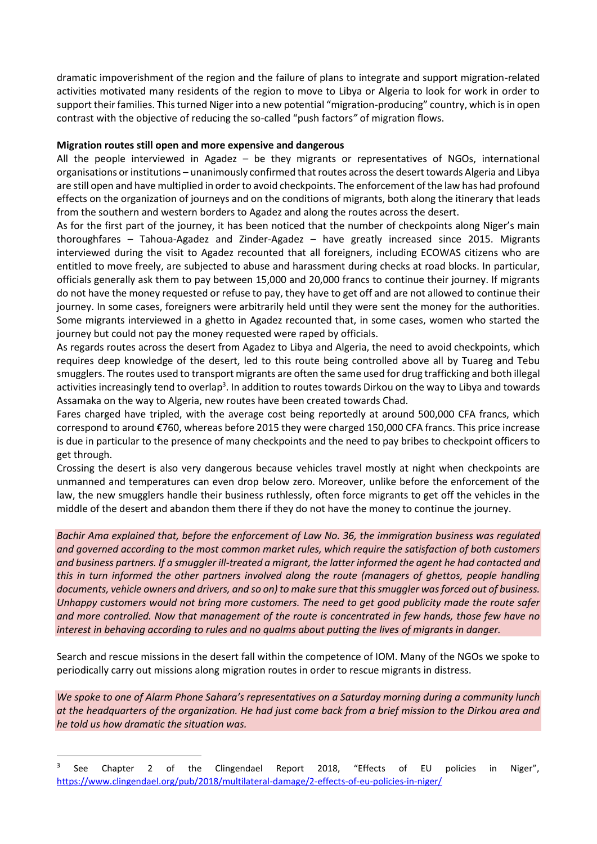dramatic impoverishment of the region and the failure of plans to integrate and support migration-related activities motivated many residents of the region to move to Libya or Algeria to look for work in order to support their families. This turned Niger into a new potential "migration-producing" country, which is in open contrast with the objective of reducing the so-called "push factors*"* of migration flows.

## **Migration routes still open and more expensive and dangerous**

All the people interviewed in Agadez – be they migrants or representatives of NGOs, international organisations or institutions – unanimously confirmed that routes across the desert towards Algeria and Libya are still open and have multiplied in order to avoid checkpoints. The enforcement of the law has had profound effects on the organization of journeys and on the conditions of migrants, both along the itinerary that leads from the southern and western borders to Agadez and along the routes across the desert.

As for the first part of the journey, it has been noticed that the number of checkpoints along Niger's main thoroughfares – Tahoua-Agadez and Zinder-Agadez – have greatly increased since 2015. Migrants interviewed during the visit to Agadez recounted that all foreigners, including ECOWAS citizens who are entitled to move freely, are subjected to abuse and harassment during checks at road blocks. In particular, officials generally ask them to pay between 15,000 and 20,000 francs to continue their journey. If migrants do not have the money requested or refuse to pay, they have to get off and are not allowed to continue their journey. In some cases, foreigners were arbitrarily held until they were sent the money for the authorities. Some migrants interviewed in a ghetto in Agadez recounted that, in some cases, women who started the journey but could not pay the money requested were raped by officials.

As regards routes across the desert from Agadez to Libya and Algeria, the need to avoid checkpoints, which requires deep knowledge of the desert, led to this route being controlled above all by Tuareg and Tebu smugglers. The routes used to transport migrants are often the same used for drug trafficking and both illegal activities increasingly tend to overlap<sup>3</sup>. In addition to routes towards Dirkou on the way to Libya and towards Assamaka on the way to Algeria, new routes have been created towards Chad.

Fares charged have tripled, with the average cost being reportedly at around 500,000 CFA francs, which correspond to around €760, whereas before 2015 they were charged 150,000 CFA francs. This price increase is due in particular to the presence of many checkpoints and the need to pay bribes to checkpoint officers to get through.

Crossing the desert is also very dangerous because vehicles travel mostly at night when checkpoints are unmanned and temperatures can even drop below zero. Moreover, unlike before the enforcement of the law, the new smugglers handle their business ruthlessly, often force migrants to get off the vehicles in the middle of the desert and abandon them there if they do not have the money to continue the journey.

*Bachir Ama explained that, before the enforcement of Law No. 36, the immigration business was regulated and governed according to the most common market rules, which require the satisfaction of both customers and business partners. If a smuggler ill-treated a migrant, the latter informed the agent he had contacted and this in turn informed the other partners involved along the route (managers of ghettos, people handling documents, vehicle owners and drivers, and so on) to make sure that this smuggler was forced out of business. Unhappy customers would not bring more customers. The need to get good publicity made the route safer and more controlled. Now that management of the route is concentrated in few hands, those few have no interest in behaving according to rules and no qualms about putting the lives of migrants in danger.*

Search and rescue missions in the desert fall within the competence of IOM. Many of the NGOs we spoke to periodically carry out missions along migration routes in order to rescue migrants in distress.

*We spoke to one of Alarm Phone Sahara's representatives on a Saturday morning during a community lunch at the headquarters of the organization. He had just come back from a brief mission to the Dirkou area and he told us how dramatic the situation was.*

**.** 

<sup>3</sup> See Chapter 2 of the Clingendael Report 2018, "Effects of EU policies in Niger", <https://www.clingendael.org/pub/2018/multilateral-damage/2-effects-of-eu-policies-in-niger/>